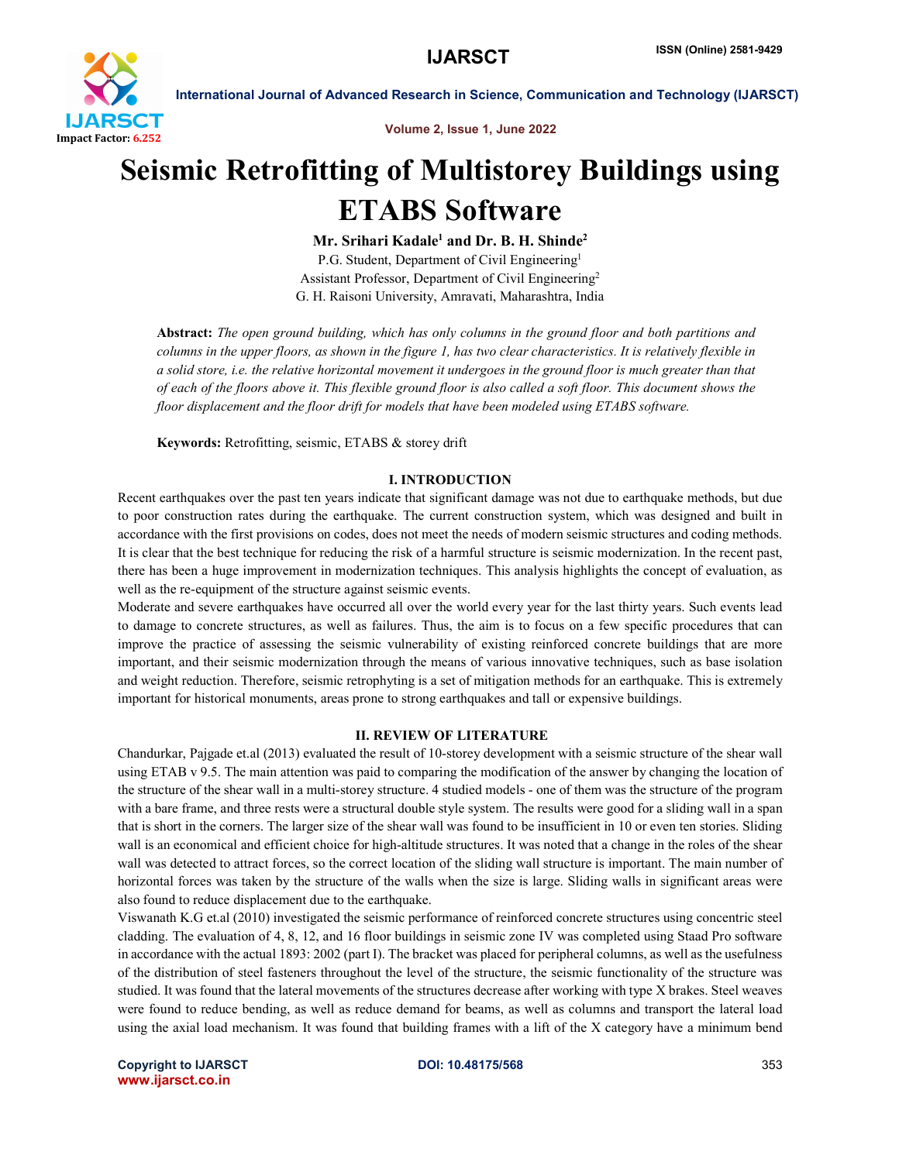

Volume 2, Issue 1, June 2022

### Seismic Retrofitting of Multistorey Buildings using ETABS Software

Mr. Srihari Kadale<sup>1</sup> and Dr. B. H. Shinde<sup>2</sup> P.G. Student, Department of Civil Engineering<sup>1</sup> Assistant Professor, Department of Civil Engineering2 G. H. Raisoni University, Amravati, Maharashtra, India

Abstract: *The open ground building, which has only columns in the ground floor and both partitions and columns in the upper floors, as shown in the figure 1, has two clear characteristics. It is relatively flexible in a solid store, i.e. the relative horizontal movement it undergoes in the ground floor is much greater than that of each of the floors above it. This flexible ground floor is also called a soft floor. This document shows the floor displacement and the floor drift for models that have been modeled using ETABS software.*

Keywords: Retrofitting, seismic, ETABS & storey drift

#### I. INTRODUCTION

Recent earthquakes over the past ten years indicate that significant damage was not due to earthquake methods, but due to poor construction rates during the earthquake. The current construction system, which was designed and built in accordance with the first provisions on codes, does not meet the needs of modern seismic structures and coding methods. It is clear that the best technique for reducing the risk of a harmful structure is seismic modernization. In the recent past, there has been a huge improvement in modernization techniques. This analysis highlights the concept of evaluation, as well as the re-equipment of the structure against seismic events.

Moderate and severe earthquakes have occurred all over the world every year for the last thirty years. Such events lead to damage to concrete structures, as well as failures. Thus, the aim is to focus on a few specific procedures that can improve the practice of assessing the seismic vulnerability of existing reinforced concrete buildings that are more important, and their seismic modernization through the means of various innovative techniques, such as base isolation and weight reduction. Therefore, seismic retrophyting is a set of mitigation methods for an earthquake. This is extremely important for historical monuments, areas prone to strong earthquakes and tall or expensive buildings.

#### II. REVIEW OF LITERATURE

Chandurkar, Pajgade et.al (2013) evaluated the result of 10-storey development with a seismic structure of the shear wall using ETAB v 9.5. The main attention was paid to comparing the modification of the answer by changing the location of the structure of the shear wall in a multi-storey structure. 4 studied models - one of them was the structure of the program with a bare frame, and three rests were a structural double style system. The results were good for a sliding wall in a span that is short in the corners. The larger size of the shear wall was found to be insufficient in 10 or even ten stories. Sliding wall is an economical and efficient choice for high-altitude structures. It was noted that a change in the roles of the shear wall was detected to attract forces, so the correct location of the sliding wall structure is important. The main number of horizontal forces was taken by the structure of the walls when the size is large. Sliding walls in significant areas were also found to reduce displacement due to the earthquake.

Viswanath K.G et.al (2010) investigated the seismic performance of reinforced concrete structures using concentric steel cladding. The evaluation of 4, 8, 12, and 16 floor buildings in seismic zone IV was completed using Staad Pro software in accordance with the actual 1893: 2002 (part I). The bracket was placed for peripheral columns, as well as the usefulness of the distribution of steel fasteners throughout the level of the structure, the seismic functionality of the structure was studied. It was found that the lateral movements of the structures decrease after working with type X brakes. Steel weaves were found to reduce bending, as well as reduce demand for beams, as well as columns and transport the lateral load using the axial load mechanism. It was found that building frames with a lift of the X category have a minimum bend

Copyright to IJARSCT **DOI: 10.48175/568** 353 www.ijarsct.co.in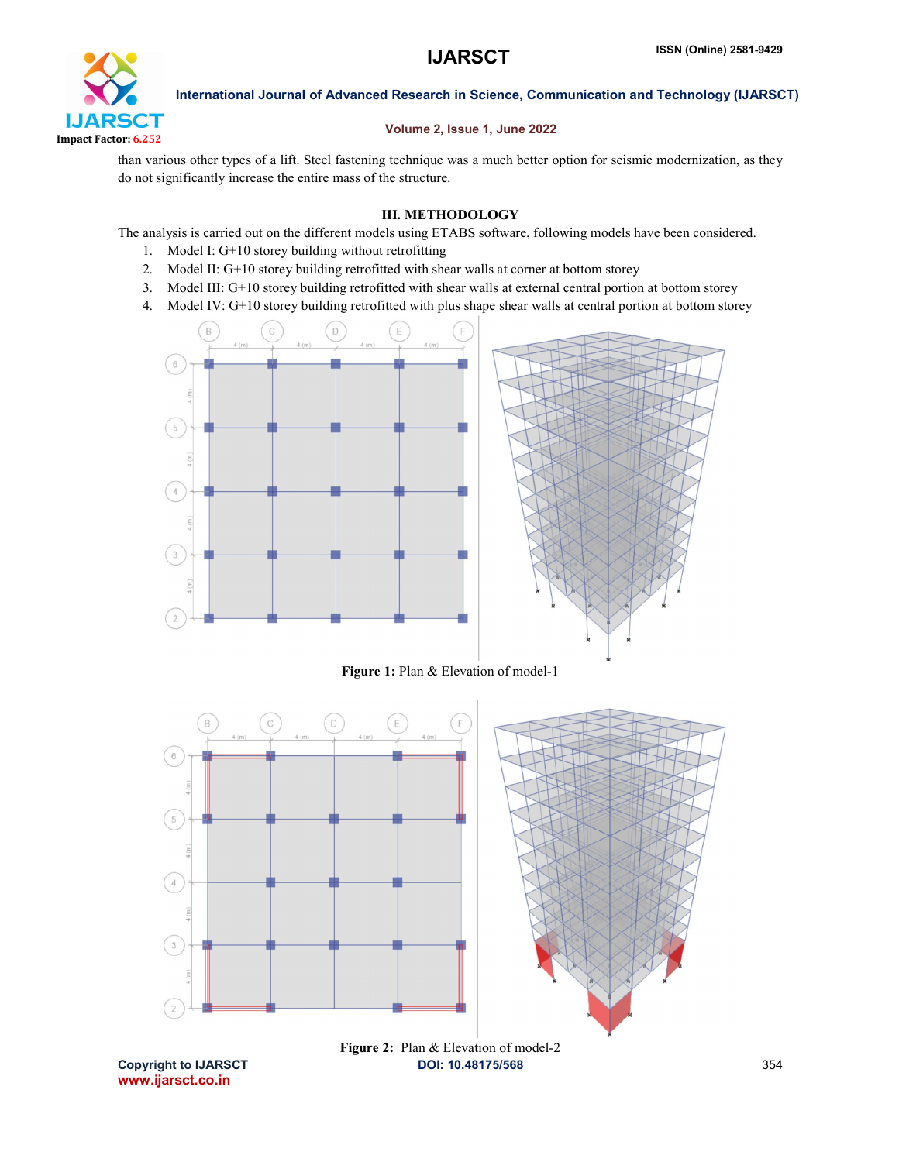

#### Volume 2, Issue 1, June 2022

than various other types of a lift. Steel fastening technique was a much better option for seismic modernization, as they do not significantly increase the entire mass of the structure.

### III. METHODOLOGY

The analysis is carried out on the different models using ETABS software, following models have been considered.

- 1. Model I: G+10 storey building without retrofitting
- 2. Model II: G+10 storey building retrofitted with shear walls at corner at bottom storey
- 3. Model III: G+10 storey building retrofitted with shear walls at external central portion at bottom storey
- 4. Model IV: G+10 storey building retrofitted with plus shape shear walls at central portion at bottom storey



Figure 1: Plan & Elevation of model-1



www.ijarsct.co.in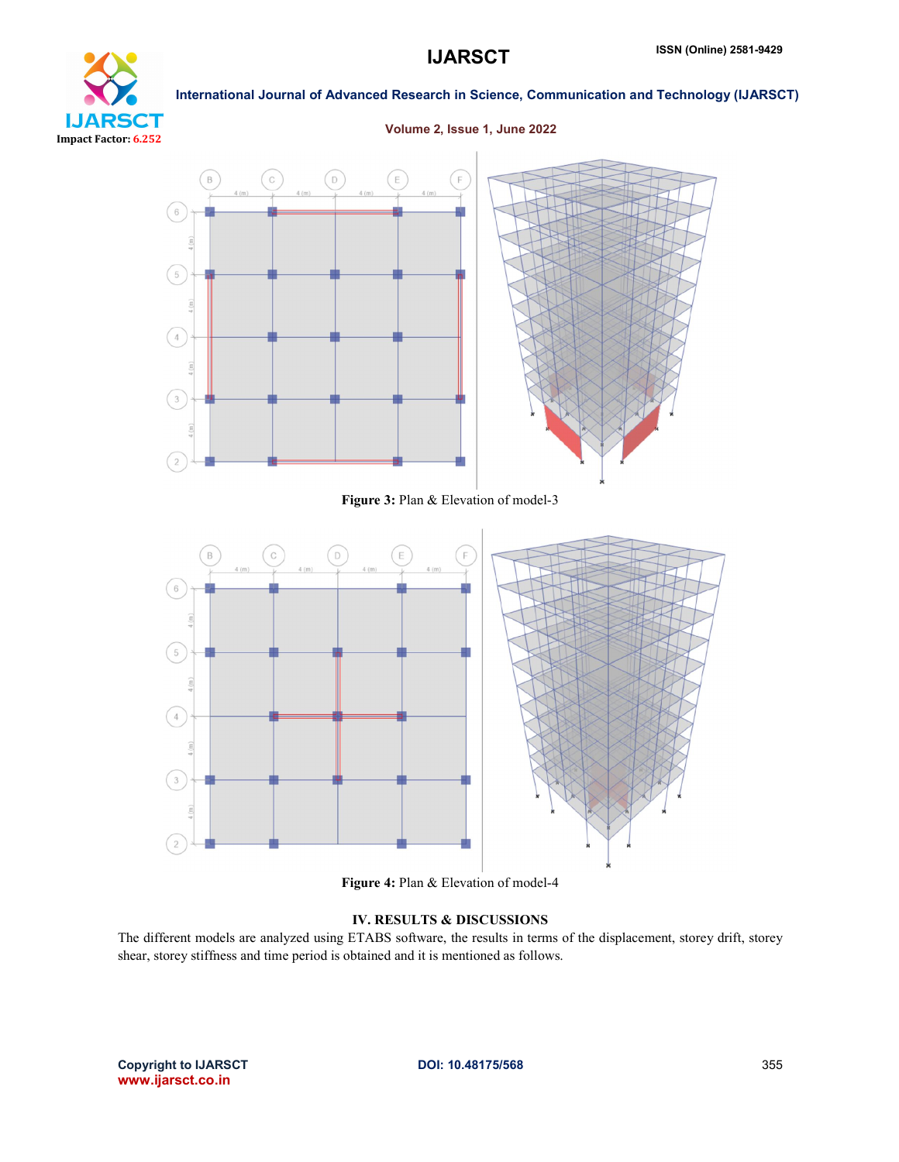# **IJARSCT** Impact Factor: 6.252

International Journal of Advanced Research in Science, Communication and Technology (IJARSCT)

#### Volume 2, Issue 1, June 2022



Figure 3: Plan & Elevation of model-3



Figure 4: Plan & Elevation of model-4

#### IV. RESULTS & DISCUSSIONS

The different models are analyzed using ETABS software, the results in terms of the displacement, storey drift, storey shear, storey stiffness and time period is obtained and it is mentioned as follows.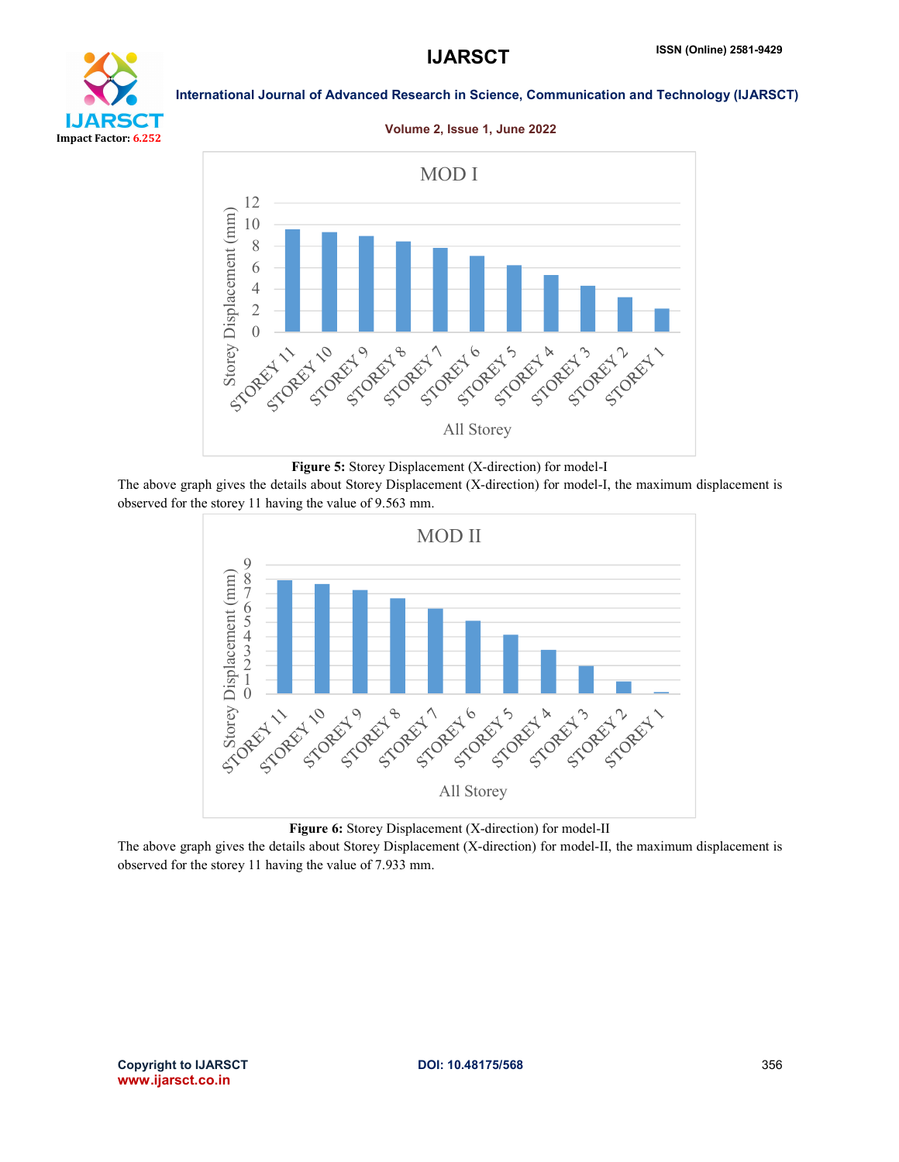### **IJARSCT** ISSN (Online) 2581-9429



#### International Journal of Advanced Research in Science, Communication and Technology (IJARSCT)

#### Volume 2, Issue 1, June 2022





The above graph gives the details about Storey Displacement (X-direction) for model-I, the maximum displacement is observed for the storey 11 having the value of 9.563 mm.



Figure 6: Storey Displacement (X-direction) for model-II

The above graph gives the details about Storey Displacement (X-direction) for model-II, the maximum displacement is observed for the storey 11 having the value of 7.933 mm.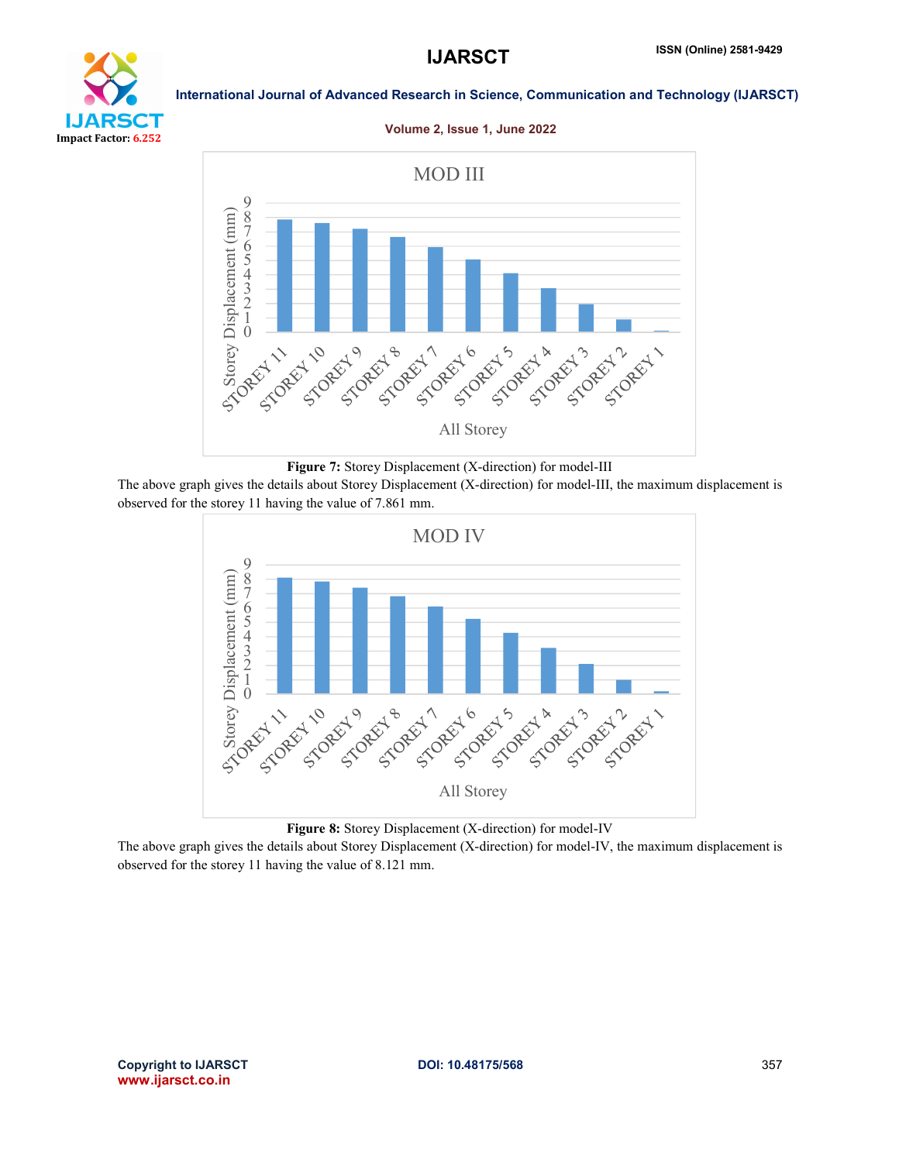



#### Volume 2, Issue 1, June 2022





The above graph gives the details about Storey Displacement (X-direction) for model-III, the maximum displacement is observed for the storey 11 having the value of 7.861 mm.



Figure 8: Storey Displacement (X-direction) for model-IV

The above graph gives the details about Storey Displacement (X-direction) for model-IV, the maximum displacement is observed for the storey 11 having the value of 8.121 mm.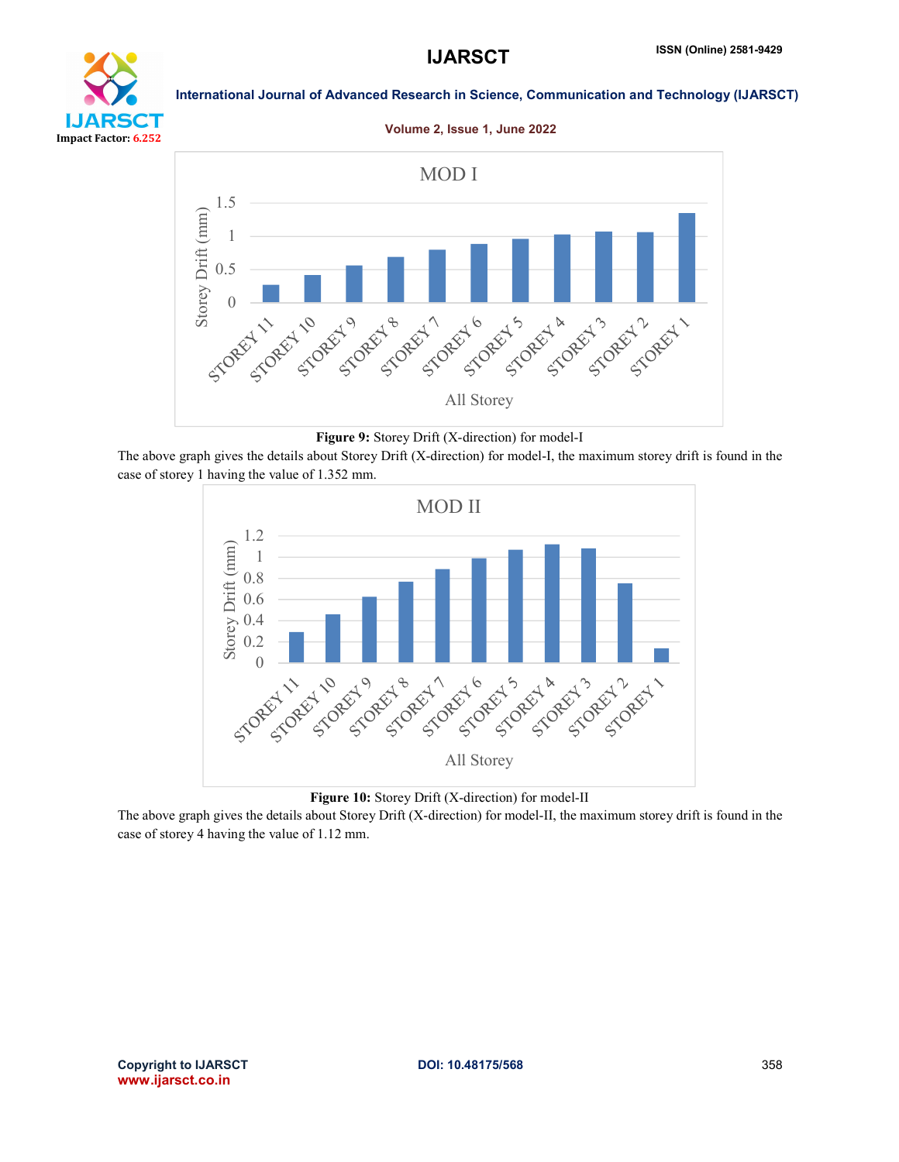## DП Impact Factor: 6.252

#### International Journal of Advanced Research in Science, Communication and Technology (IJARSCT)

#### Volume 2, Issue 1, June 2022



Figure 9: Storey Drift (X-direction) for model-I

The above graph gives the details about Storey Drift (X-direction) for model-I, the maximum storey drift is found in the case of storey 1 having the value of 1.352 mm.



Figure 10: Storey Drift (X-direction) for model-II

The above graph gives the details about Storey Drift (X-direction) for model-II, the maximum storey drift is found in the case of storey 4 having the value of 1.12 mm.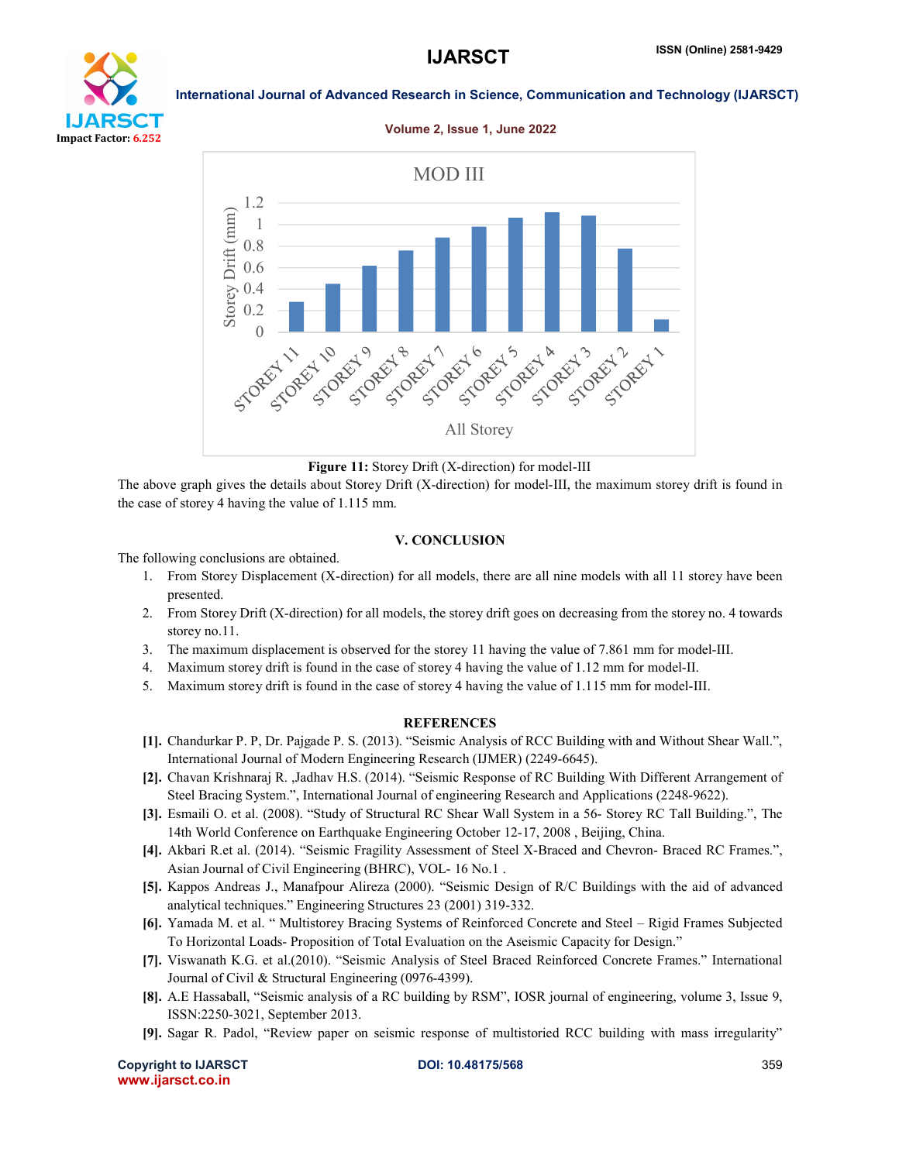## ŊТ Impact Factor: 6.252

International Journal of Advanced Research in Science, Communication and Technology (IJARSCT)

#### Volume 2, Issue 1, June 2022



#### Figure 11: Storey Drift (X-direction) for model-III

The above graph gives the details about Storey Drift (X-direction) for model-III, the maximum storey drift is found in the case of storey 4 having the value of 1.115 mm.

#### V. CONCLUSION

The following conclusions are obtained.

- 1. From Storey Displacement (X-direction) for all models, there are all nine models with all 11 storey have been presented.
- 2. From Storey Drift (X-direction) for all models, the storey drift goes on decreasing from the storey no. 4 towards storey no.11.
- 3. The maximum displacement is observed for the storey 11 having the value of 7.861 mm for model-III.
- 4. Maximum storey drift is found in the case of storey 4 having the value of 1.12 mm for model-II.
- 5. Maximum storey drift is found in the case of storey 4 having the value of 1.115 mm for model-III.

#### **REFERENCES**

- [1]. Chandurkar P. P, Dr. Pajgade P. S. (2013). "Seismic Analysis of RCC Building with and Without Shear Wall.", International Journal of Modern Engineering Research (IJMER) (2249-6645).
- [2]. Chavan Krishnaraj R. ,Jadhav H.S. (2014). "Seismic Response of RC Building With Different Arrangement of Steel Bracing System.", International Journal of engineering Research and Applications (2248-9622).
- [3]. Esmaili O. et al. (2008). "Study of Structural RC Shear Wall System in a 56- Storey RC Tall Building.", The 14th World Conference on Earthquake Engineering October 12-17, 2008 , Beijing, China.
- [4]. Akbari R.et al. (2014). "Seismic Fragility Assessment of Steel X-Braced and Chevron- Braced RC Frames.", Asian Journal of Civil Engineering (BHRC), VOL- 16 No.1 .
- [5]. Kappos Andreas J., Manafpour Alireza (2000). "Seismic Design of R/C Buildings with the aid of advanced analytical techniques." Engineering Structures 23 (2001) 319-332.
- [6]. Yamada M. et al. " Multistorey Bracing Systems of Reinforced Concrete and Steel Rigid Frames Subjected To Horizontal Loads- Proposition of Total Evaluation on the Aseismic Capacity for Design."
- [7]. Viswanath K.G. et al.(2010). "Seismic Analysis of Steel Braced Reinforced Concrete Frames." International Journal of Civil & Structural Engineering (0976-4399).
- [8]. A.E Hassaball, "Seismic analysis of a RC building by RSM", IOSR journal of engineering, volume 3, Issue 9, ISSN:2250-3021, September 2013.
- [9]. Sagar R. Padol, "Review paper on seismic response of multistoried RCC building with mass irregularity"